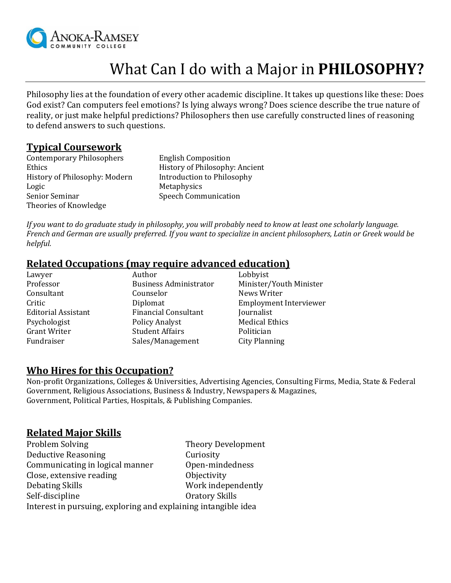

# What Can I do with a Major in **PHILOSOPHY?**

Philosophy lies at the foundation of every other academic discipline. It takes up questions like these: Does God exist? Can computers feel emotions? Is lying always wrong? Does science describe the true nature of reality, or just make helpful predictions? Philosophers then use carefully constructed lines of reasoning to defend answers to such questions.

## **Typical Coursework**

Contemporary Philosophers English Composition Ethics History of Philosophy: Ancient History of Philosophy: Modern Introduction to Philosophy Logic Metaphysics Senior Seminar Speech Communication Theories of Knowledge

*If you want to do graduate study in philosophy, you will probably need to know at least one scholarly language. French and German are usually preferred. If you want to specialize in ancient philosophers, Latin or Greek would be helpful.*

## **Related Occupations (may require advanced education)**

| Lawyer                     | Author                        | Lobbyist                      |
|----------------------------|-------------------------------|-------------------------------|
| Professor                  | <b>Business Administrator</b> | Minister/Youth Minister       |
| Consultant                 | Counselor                     | News Writer                   |
| Critic                     | Diplomat                      | <b>Employment Interviewer</b> |
| <b>Editorial Assistant</b> | <b>Financial Consultant</b>   | Journalist                    |
| Psychologist               | <b>Policy Analyst</b>         | <b>Medical Ethics</b>         |
| <b>Grant Writer</b>        | <b>Student Affairs</b>        | Politician                    |
| Fundraiser                 | Sales/Management              | <b>City Planning</b>          |

#### **Who Hires for this Occupation?**

Non-profit Organizations, Colleges & Universities, Advertising Agencies, Consulting Firms, Media, State & Federal Government, Religious Associations, Business & Industry, Newspapers & Magazines, Government, Political Parties, Hospitals, & Publishing Companies.

## **Related Major Skills**

| Problem Solving                                                | <b>Theory Development</b> |  |
|----------------------------------------------------------------|---------------------------|--|
| <b>Deductive Reasoning</b>                                     | Curiosity                 |  |
| Communicating in logical manner                                | Open-mindedness           |  |
| Close, extensive reading                                       | Objectivity               |  |
| Debating Skills                                                | Work independently        |  |
| Self-discipline                                                | Oratory Skills            |  |
| Interest in pursuing, exploring and explaining intangible idea |                           |  |